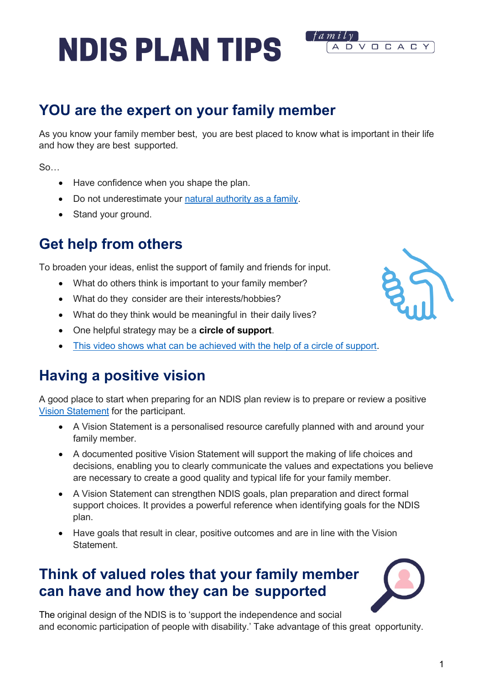1

# **NDIS PLAN TIPS**

## **YOU are the expert on your family member**

As you know your family member best, you are best placed to know what is important in their life and how they are best supported.

 $f$ a m i l v

ADVOCACY

 $S<sub>0</sub>$ 

- Have confidence when you shape the plan.
- Do not underestimate your [natural authority as a family.](https://www.family-advocacy.com/assets/Uploads/Downloadables/453f2744d5/10753-The-Natural-Authority-of-Families-MKendrick-CT06.pdf)
- Stand your ground.

### **Get help from others**

To broaden your ideas, enlist the support of family and friends for input.

- What do others think is important to your family member?
- What do they consider are their interests/hobbies?
- What do they think would be meaningful in their daily lives?
- One helpful strategy may be a **circle of support**.
- [This video shows what can be achieved with the help of a circle of support.](https://www.youtube.com/watch?app=desktop&v=gPfHheOrI18)

## **Having a positive vision**

A good place to start when preparing for an NDIS plan review is to prepare or review a positive [Vision Statement](https://www.ric.org.au/positive-vision/) for the participant.

- A Vision Statement is a personalised resource carefully planned with and around your family member.
- A documented positive Vision Statement will support the making of life choices and decisions, enabling you to clearly communicate the values and expectations you believe are necessary to create a good quality and typical life for your family member.
- A Vision Statement can strengthen NDIS goals, plan preparation and direct formal support choices. It provides a powerful reference when identifying goals for the NDIS plan.
- Have goals that result in clear, positive outcomes and are in line with the Vision **Statement**

### **Think of valued roles that your family member can have and how they can be supported**





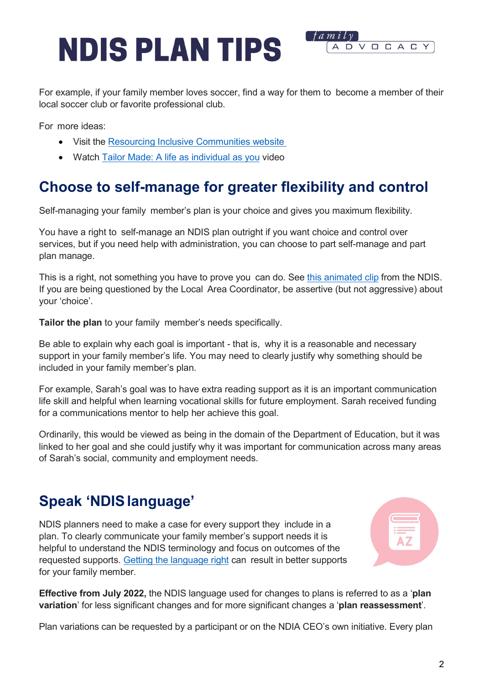

For example, if your family member loves soccer, find a way for them to become a member of their local soccer club or favorite professional club.

For more ideas:

- Visit the Resourcing Inclusive [Communities website](https://www.ric.org.au/valued-roles)
- Watch [Tailor Made: A life as individual as you](https://www.youtube.com/watch?v=ePTl3tLtJ54) video

### **Choose to self-manage for greater flexibility and control**

Self-managing your family member's plan is your choice and gives you maximum flexibility.

You have a right to self-manage an NDIS plan outright if you want choice and control over services, but if you need help with administration, you can choose to part self-manage and part plan manage.

This is a right, not something you have to prove you can do. See [this animated clip](https://www.ndis.gov.au/participants/using-your-plan/self-management/learning-self-manage-your-plan) from the NDIS. If you are being questioned by the Local Area Coordinator, be assertive (but not aggressive) about your 'choice'.

**Tailor the plan** to your family member's needs specifically.

Be able to explain why each goal is important - that is, why it is a reasonable and necessary support in your family member's life. You may need to clearly justify why something should be included in your family member's plan.

For example, Sarah's goal was to have extra reading support as it is an important communication life skill and helpful when learning vocational skills for future employment. Sarah received funding for a communications mentor to help her achieve this goal.

Ordinarily, this would be viewed as being in the domain of the Department of Education, but it was linked to her goal and she could justify why it was important for communication across many areas of Sarah's social, community and employment needs.

### **Speak 'NDISlanguage'**

NDIS planners need to make a case for every support they include in a plan. To clearly communicate your family member's support needs it is helpful to understand the NDIS terminology and focus on outcomes of the requested supports. [Getting the language right](https://www.summerfoundation.org.au/wp-content/uploads/2018/04/getting-the-language-right-web.pdf) can result in better supports for your family member.



**Effective from July 2022,** the NDIS language used for changes to plans is referred to as a '**plan variation**' for less significant changes and for more significant changes a '**plan reassessment**'.

Plan variations can be requested by a participant or on the NDIA CEO's own initiative. Every plan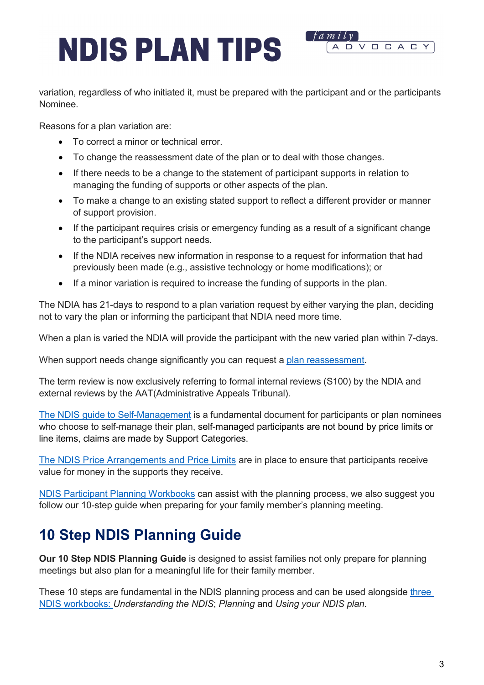variation, regardless of who initiated it, must be prepared with the participant and or the participants Nominee.

f amily

ADVOCAC

Reasons for a plan variation are:

- To correct a minor or technical error.
- To change the reassessment date of the plan or to deal with those changes.
- If there needs to be a change to the statement of participant supports in relation to managing the funding of supports or other aspects of the plan.
- To make a change to an existing stated support to reflect a different provider or manner of support provision.
- If the participant requires crisis or emergency funding as a result of a significant change to the participant's support needs.
- If the NDIA receives new information in response to a request for information that had previously been made (e.g., assistive technology or home modifications); or
- If a minor variation is required to increase the funding of supports in the plan.

The NDIA has 21-days to respond to a plan variation request by either varying the plan, deciding not to vary the plan or informing the participant that NDIA need more time.

When a plan is varied the NDIA will provide the participant with the new varied plan within 7-days.

When support needs change significantly you can request a [plan reassessment.](https://www.ndis.gov.au/about-us/operational-guidelines/planning-operational-guideline/planning-operational-guideline-reviewing-and-changing-participants-plan) 

The term review is now exclusively referring to formal internal reviews (S100) by the NDIA and external reviews by the AAT(Administrative Appeals Tribunal).

[The NDIS guide to Self-Management](https://www.ndis.gov.au/media/1004/download) is a fundamental document for participants or plan nominees who choose to self-manage their plan, self-managed participants are not bound by price limits or line items, claims are made by Support Categories.

[The NDIS Price Arrangements and Price Limits](https://www.ndis.gov.au/providers/pricing-arrangements) are in place to ensure that participants receive value for money in the supports they receive.

[NDIS Participant Planning Workbooks](https://www.ndis.gov.au/participants/how-planning-process-works) can assist with the planning process, we also suggest you follow our 10-step guide when preparing for your family member's planning meeting.

### **10 Step NDIS Planning Guide**

**Our 10 Step NDIS Planning Guide** is designed to assist families not only prepare for planning meetings but also plan for a meaningful life for their family member.

These 10 steps are fundamental in the NDIS planning process and can be used alongside [three](https://www.ndis.gov.au/participants/how-planning-process-works)  [NDIS workbooks:](https://www.ndis.gov.au/participants/how-planning-process-works) *Understanding the NDIS*; *Planning* and *Using your NDIS plan*.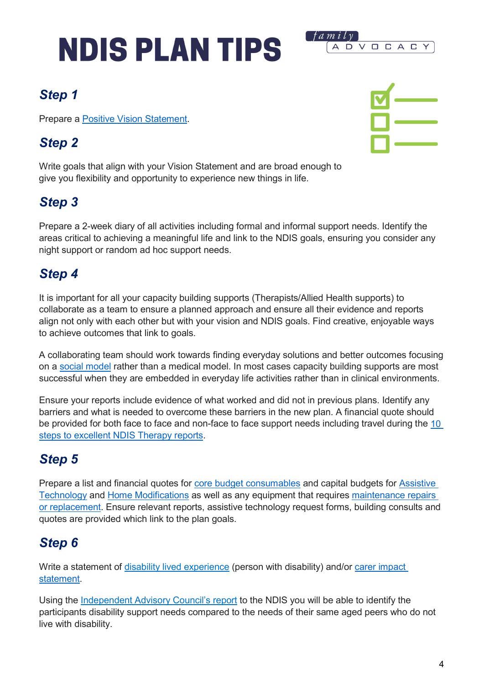

### *Step 1*

Prepare a [Positive Vision Statement.](https://www.ric.org.au/positive-vision/)

### *Step 2*



Write goals that align with your Vision Statement and are broad enough to give you flexibility and opportunity to experience new things in life.

### *Step 3*

Prepare a 2-week diary of all activities including formal and informal support needs. Identify the areas critical to achieving a meaningful life and link to the NDIS goals, ensuring you consider any night support or random ad hoc support needs.

### *Step 4*

It is important for all your capacity building supports (Therapists/Allied Health supports) to collaborate as a team to ensure a planned approach and ensure all their evidence and reports align not only with each other but with your vision and NDIS goals. Find creative, enjoyable ways to achieve outcomes that link to goals.

A collaborating team should work towards finding everyday solutions and better outcomes focusing on a [social model](https://pwd.org.au/resources/disability-info/social-model-of-disability/) rather than a medical model. In most cases capacity building supports are most successful when they are embedded in everyday life activities rather than in clinical environments.

Ensure your reports include evidence of what worked and did not in previous plans. Identify any barriers and what is needed to overcome these barriers in the new plan. A financial quote should be provided for both face to face and non-face to face support needs including travel during the [10](https://valid.org.au/resources-and-media/resources/10-steps-excellent-ndis-therapy-reports/)  [steps to excellent NDIS Therapy reports.](https://valid.org.au/resources-and-media/resources/10-steps-excellent-ndis-therapy-reports/)

## *Step 5*

Prepare a list and financial quotes for [core budget consumables](https://ourguidelines.ndis.gov.au/would-we-fund-it/consumables) and capital budgets for [Assistive](https://www.ndis.gov.au/participants/assistive-technology-explained) [Technology](https://www.ndis.gov.au/participants/assistive-technology-explained) and [Home Modifications](https://www.ndis.gov.au/participants/home-and-living/home-modifications-explained) as well as any equipment that requires [maintenance repairs](https://www.ndis.gov.au/participants/assistive-technology-explained/assistive-technology-repairs-maintenance-and-replacement)  [or replacement.](https://www.ndis.gov.au/participants/assistive-technology-explained/assistive-technology-repairs-maintenance-and-replacement) Ensure relevant reports, assistive technology request forms, building consults and quotes are provided which link to the plan goals.

## *Step 6*

Write a statement of [disability lived experience](https://www.pwdwa.org/documents/ndis_appeals_support/NDISstatementoflivedexperiencewebpage.docx) (person with disability) and/or carer impact [statement.](https://ddwa.org.au/when-do-i-need-a-carer-statement-for-an-ndis-application-or-review/)

Using the [Independent Advisory Council's report](https://www.myalliedhealthspace.org/resources/reasonable-and-necessary-support-across-the-lifespan-an-ordinary-life-for-people-with-disability) to the NDIS you will be able to identify the participants disability support needs compared to the needs of their same aged peers who do not live with disability.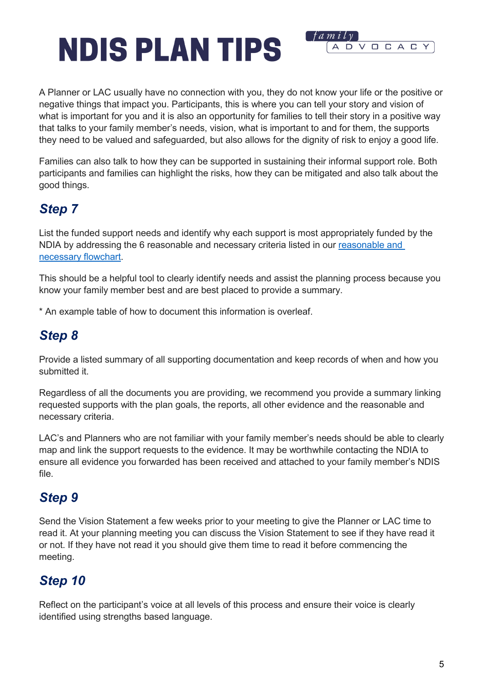

f amily

A D

VOCAC

Families can also talk to how they can be supported in sustaining their informal support role. Both participants and families can highlight the risks, how they can be mitigated and also talk about the good things.

### *Step 7*

List the funded support needs and identify why each support is most appropriately funded by the NDIA by addressing the 6 reasonable and necessary criteria listed in our [reasonable and](https://www.family-advocacy.com/assets/Uploads/NDIS-Information-Update/ab84e4cc16/Reasonable-and-necessary-chart.jpg)  [necessary flowchart.](https://www.family-advocacy.com/assets/Uploads/NDIS-Information-Update/ab84e4cc16/Reasonable-and-necessary-chart.jpg)

This should be a helpful tool to clearly identify needs and assist the planning process because you know your family member best and are best placed to provide a summary.

\* An example table of how to document this information is overleaf.

#### *Step 8*

Provide a listed summary of all supporting documentation and keep records of when and how you submitted it.

Regardless of all the documents you are providing, we recommend you provide a summary linking requested supports with the plan goals, the reports, all other evidence and the reasonable and necessary criteria.

LAC's and Planners who are not familiar with your family member's needs should be able to clearly map and link the support requests to the evidence. It may be worthwhile contacting the NDIA to ensure all evidence you forwarded has been received and attached to your family member's NDIS file.

#### *Step 9*

Send the Vision Statement a few weeks prior to your meeting to give the Planner or LAC time to read it. At your planning meeting you can discuss the Vision Statement to see if they have read it or not. If they have not read it you should give them time to read it before commencing the meeting.

### *Step 10*

Reflect on the participant's voice at all levels of this process and ensure their voice is clearly identified using strengths based language.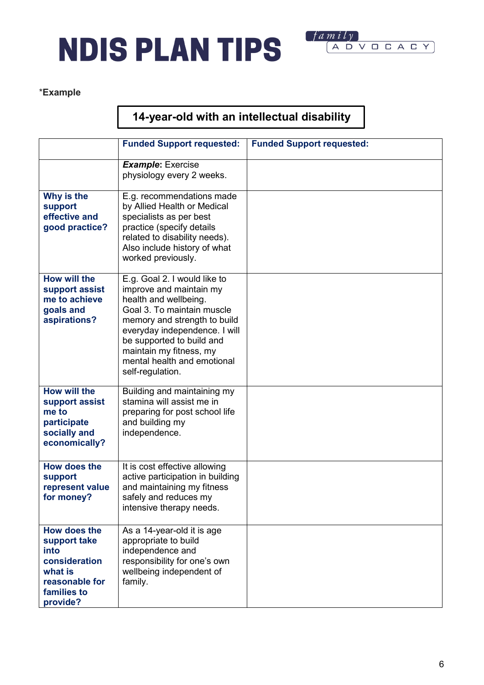



#### \***Example**

#### **14-year-old with an intellectual disability**

|                                                                                                               | <b>Funded Support requested:</b>                                                                                                                                                                                                                                                           | <b>Funded Support requested:</b> |
|---------------------------------------------------------------------------------------------------------------|--------------------------------------------------------------------------------------------------------------------------------------------------------------------------------------------------------------------------------------------------------------------------------------------|----------------------------------|
|                                                                                                               | <b>Example: Exercise</b><br>physiology every 2 weeks.                                                                                                                                                                                                                                      |                                  |
| Why is the<br>support<br>effective and<br>good practice?                                                      | E.g. recommendations made<br>by Allied Health or Medical<br>specialists as per best<br>practice (specify details<br>related to disability needs).<br>Also include history of what<br>worked previously.                                                                                    |                                  |
| How will the<br>support assist<br>me to achieve<br>goals and<br>aspirations?                                  | E.g. Goal 2. I would like to<br>improve and maintain my<br>health and wellbeing.<br>Goal 3. To maintain muscle<br>memory and strength to build<br>everyday independence. I will<br>be supported to build and<br>maintain my fitness, my<br>mental health and emotional<br>self-regulation. |                                  |
| <b>How will the</b><br>support assist<br>me to<br>participate<br>socially and<br>economically?                | Building and maintaining my<br>stamina will assist me in<br>preparing for post school life<br>and building my<br>independence.                                                                                                                                                             |                                  |
| <b>How does the</b><br>support<br>represent value<br>for money?                                               | It is cost effective allowing<br>active participation in building<br>and maintaining my fitness<br>safely and reduces my<br>intensive therapy needs.                                                                                                                                       |                                  |
| How does the<br>support take<br>into<br>consideration<br>what is<br>reasonable for<br>families to<br>provide? | As a 14-year-old it is age<br>appropriate to build<br>independence and<br>responsibility for one's own<br>wellbeing independent of<br>family.                                                                                                                                              |                                  |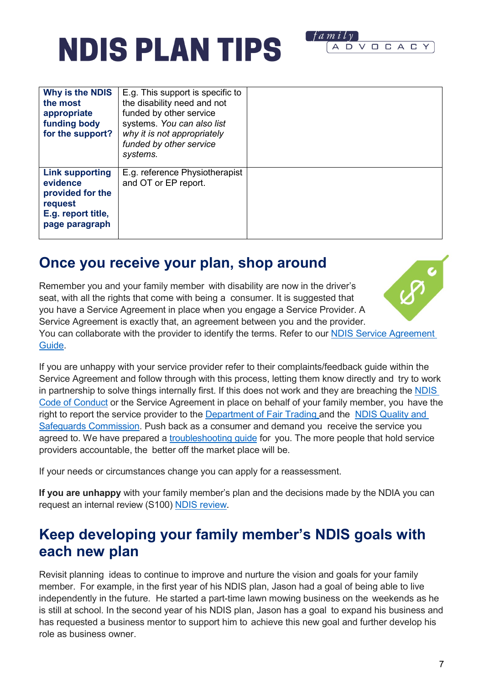| Why is the NDIS<br>the most<br>appropriate<br>funding body<br>for the support?                            | E.g. This support is specific to<br>the disability need and not<br>funded by other service<br>systems. You can also list<br>why it is not appropriately<br>funded by other service<br>systems. |  |
|-----------------------------------------------------------------------------------------------------------|------------------------------------------------------------------------------------------------------------------------------------------------------------------------------------------------|--|
| <b>Link supporting</b><br>evidence<br>provided for the<br>request<br>E.g. report title,<br>page paragraph | E.g. reference Physiotherapist<br>and OT or EP report.                                                                                                                                         |  |

### **Once you receive your plan, shop around**

Remember you and your family member with disability are now in the driver's seat, with all the rights that come with being a consumer. It is suggested that you have a Service Agreement in place when you engage a Service Provider. A Service Agreement is exactly that, an agreement between you and the provider. You can collaborate with the provider to identify the terms. Refer to our **NDIS Service Agreement** [Guide.](https://www.family-advocacy.com/assets/Uploads/NDIS-Information-Update/0fc5494658/NDIS-FUNDED-SERVICE-AGREEMENT-GUIDE.pdf)

If you are unhappy with your service provider refer to their complaints/feedback guide within the Service Agreement and follow through with this process, letting them know directly and try to work in partnership to solve things internally first. If this does not work and they are breaching the **NDIS** [Code of Conduct](https://www.ndiscommission.gov.au/participants/ndis-code-conduct) or the Service Agreement in place on behalf of your family member, you have the right to report the service provider to the [Department of Fair Trading](https://www.fairtrading.nsw.gov.au/) and the [NDIS Quality](https://www.ndiscommission.gov.au/) and Safeguards [Commission.](https://www.ndiscommission.gov.au/) Push back as a consumer and demand you receive the service you agreed to. We have prepared a [troubleshooting guide](https://www.family-advocacy.com/assets/Uploads/NDIS-Information-Update/58e83fdbc6/NDIS-TROUBLESHOOTING-GUIDE-Family-Advocacy-2022.pdf) for you. The more people that hold service providers accountable, the better off the market place will be.

If your needs or circumstances change you can apply for a reassessment.

**If you are unhappy** with your family member's plan and the decisions made by the NDIA you can request an internal review (S100) [NDIS review.](https://www.family-advocacy.com/assets/8fb8fe4a8e/NDIS-Review-Guide-web.pdf)

### **Keep developing your family member's NDIS goals with each new plan**

Revisit planning ideas to continue to improve and nurture the vision and goals for your family member. For example, in the first year of his NDIS plan, Jason had a goal of being able to live independently in the future. He started a part-time lawn mowing business on the weekends as he is still at school. In the second year of his NDIS plan, Jason has a goal to expand his business and has requested a business mentor to support him to achieve this new goal and further develop his role as business owner.